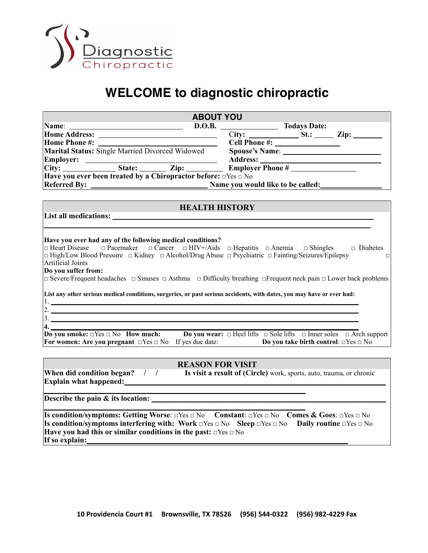

## **WELCOME to diagnostic chiropractic**

| <b>ABOUT YOU</b>                                                                                                                                                                                                                                                                                                                                                                                                                                                                                                                         |  |
|------------------------------------------------------------------------------------------------------------------------------------------------------------------------------------------------------------------------------------------------------------------------------------------------------------------------------------------------------------------------------------------------------------------------------------------------------------------------------------------------------------------------------------------|--|
|                                                                                                                                                                                                                                                                                                                                                                                                                                                                                                                                          |  |
|                                                                                                                                                                                                                                                                                                                                                                                                                                                                                                                                          |  |
|                                                                                                                                                                                                                                                                                                                                                                                                                                                                                                                                          |  |
|                                                                                                                                                                                                                                                                                                                                                                                                                                                                                                                                          |  |
|                                                                                                                                                                                                                                                                                                                                                                                                                                                                                                                                          |  |
|                                                                                                                                                                                                                                                                                                                                                                                                                                                                                                                                          |  |
| Have you ever been treated by a Chiropractor before: $\Box$ Yes $\Box$ No                                                                                                                                                                                                                                                                                                                                                                                                                                                                |  |
|                                                                                                                                                                                                                                                                                                                                                                                                                                                                                                                                          |  |
|                                                                                                                                                                                                                                                                                                                                                                                                                                                                                                                                          |  |
| <b>EXAMPLE 2018 HEALTH HISTORY</b>                                                                                                                                                                                                                                                                                                                                                                                                                                                                                                       |  |
|                                                                                                                                                                                                                                                                                                                                                                                                                                                                                                                                          |  |
|                                                                                                                                                                                                                                                                                                                                                                                                                                                                                                                                          |  |
| Have you ever had any of the following medical conditions?<br>$\Box$ Heart Disease $\Box$ Pacemaker $\Box$ Cancer $\Box$ HIV+/Aids $\Box$ Hepatitis $\Box$ Anemia $\Box$ Shingles $\Box$ Diabetes<br>$\Box$ High/Low Blood Pressure $\Box$ Kidney $\Box$ Alcohol/Drug Abuse $\Box$ Psychiatric $\Box$ Fainting/Seizures/Epilepsy<br>$\Box$<br>Artificial Joints<br>Do you suffer from:<br>$\Box$ Severe/Frequent headaches $\Box$ Sinuses $\Box$ Asthma $\Box$ Difficulty breathing $\Box$ Frequent neck pain $\Box$ Lower back problems |  |
| List any other serious medical conditions, surgeries, or past serious accidents, with dates, you may have or ever had:                                                                                                                                                                                                                                                                                                                                                                                                                   |  |
|                                                                                                                                                                                                                                                                                                                                                                                                                                                                                                                                          |  |
| 2.                                                                                                                                                                                                                                                                                                                                                                                                                                                                                                                                       |  |
| $\frac{3}{2}$                                                                                                                                                                                                                                                                                                                                                                                                                                                                                                                            |  |
| <b>4.</b><br>Do you smoke: $\Box$ Yes $\Box$ No How much: Do you wear: $\Box$ Heel lifts $\Box$ Sole lifts $\Box$ Inner soles $\Box$ Arch support<br>For women: Are you pregnant $\Box$ Yes $\Box$ No If yes due date: <b>Do you take birth control</b> : $\Box$ Yes $\Box$ No                                                                                                                                                                                                                                                           |  |
| <b>REASON FOR VISIT</b>                                                                                                                                                                                                                                                                                                                                                                                                                                                                                                                  |  |
| When did condition began? / / Is visit a result of (Circle) work, sports, auto, trauma, or chronic<br>Explain what happened:                                                                                                                                                                                                                                                                                                                                                                                                             |  |
|                                                                                                                                                                                                                                                                                                                                                                                                                                                                                                                                          |  |
| Describe the pain & its location:                                                                                                                                                                                                                                                                                                                                                                                                                                                                                                        |  |

**\_\_\_\_\_\_\_\_\_\_\_\_\_\_\_\_\_\_\_\_\_\_\_\_\_\_\_\_\_\_\_\_\_\_\_\_\_\_\_\_\_\_\_\_\_\_\_\_\_\_\_\_\_\_\_\_\_\_\_\_\_\_\_\_\_\_\_\_ Is condition/symptoms: Getting Worse**: □Yes □ No **Constant**: □Yes □ No **Comes & Goes**: □Yes □ No **Is condition/symptoms interfering with: Work** □Yes □ No **Sleep** □Yes □ No **Daily routine** □Yes □ No **Have you had this or similar conditions in the past:** □Yes □ No **If so explain:**